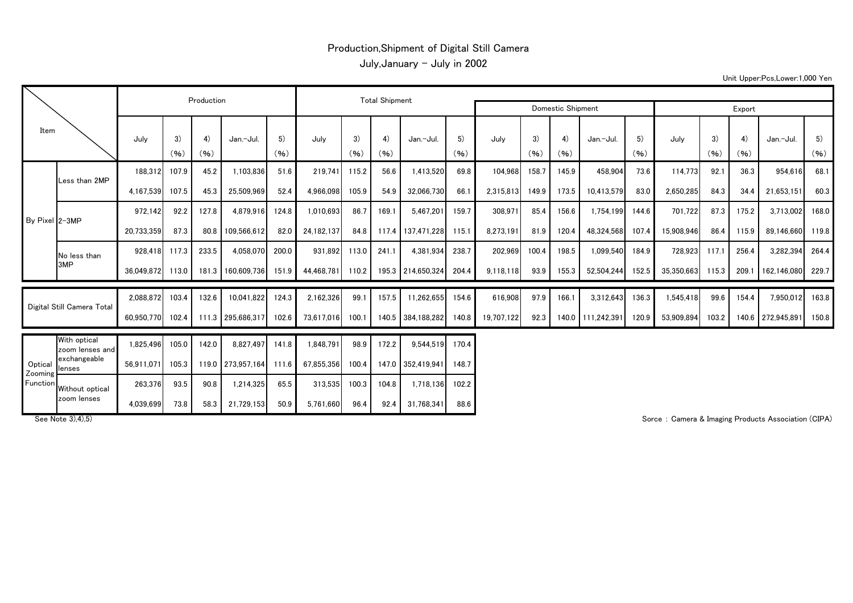## Production,Shipment of Digital Still Camera July,January - July in 2002

Unit Upper:Pcs,Lower:1,000 Yen

| Item                           |                                 |            | Production |            | <b>Total Shipment</b> |            |            |            |            |                   |            |            |            |            |                   |            |            |            |            |                   |            |
|--------------------------------|---------------------------------|------------|------------|------------|-----------------------|------------|------------|------------|------------|-------------------|------------|------------|------------|------------|-------------------|------------|------------|------------|------------|-------------------|------------|
|                                |                                 |            |            |            |                       |            |            |            |            | Domestic Shipment | Export     |            |            |            |                   |            |            |            |            |                   |            |
|                                |                                 | July       | 3)<br>(96) | 4)<br>(96) | Jan.-Jul.             | 5)<br>(96) | July       | 3)<br>(96) | 4)<br>(96) | Jan.-Jul.         | 5)<br>(96) | July       | 3)<br>(96) | 4)<br>(96) | Jan.-Jul.         | 5)<br>(96) | July       | 3)<br>(96) | 4)<br>(96) | Jan.-Jul.         | 5)<br>(96) |
| By Pixel 2-3MP                 | Less than 2MP                   | 188.312    | 107.9      | 45.2       | 1.103.836             | 51.6       | 219.741    | 115.2      | 56.6       | 1.413.520         | 69.8       | 104.968    | 158.7      | 145.9      | 458.904           | 73.6       | 114.773    | 92.1       | 36.3       | 954.616           | 68.1       |
|                                |                                 | 4,167,539  | 107.5      | 45.3       | 25,509,969            | 52.4       | 4,966,098  | 105.9      | 54.9       | 32,066,730        | 66.        | 2.315.813  | 149.9      | 173.5      | 10,413,579        | 83.0       | 2,650,285  | 84.3       | 34.4       | 21,653,151        | 60.3       |
|                                |                                 | 972.142    | 92.2       | 127.8      | 4,879,916             | 124.8      | 1,010,693  | 86.7       | 169.1      | 5.467.201         | 159.7      | 308,971    | 85.4       | 156.6      | 1,754,199         | 144.6      | 701.722    | 87.3       | 175.2      | 3.713.002         | 168.0      |
|                                |                                 | 20,733,359 | 87.3       |            | 80.8 109,566,612      | 82.0       | 24,182,137 | 84.8       | 117.4      | 137.471.228       | 115.1      | 8,273,191  | 81.9       | 120.4      | 48,324,568        | 107.4      | 15.908.946 | 86.4       | 115.9      | 89.146.660        | 119.8      |
|                                | No less than                    | 928.418    | 117.3      | 233.5      | 4,058,070             | 200.0      | 931.892    | 113.0      | 241.1      | 4.381.934         | 238.7      | 202,969    | 100.4      | 198.5      | 1,099,540         | 184.9      | 728,923    | 117.1      | 256.4      | 3,282,394         | 264.4      |
|                                | 3MP                             | 36.049.872 | 113.0      |            | 181.3 160.609.736     | 151.9      | 44.468.781 | 110.2      |            | 195.3 214.650.324 | 204.4      | 9,118,118  | 93.9       | 155.3      | 52,504,244        | 152.5      | 35,350,663 | 115.3      | 209.1      | 162.146.080       | 229.7      |
| Digital Still Camera Total     |                                 | 2.088.872  | 103.4      | 132.6      | 10,041,822            | 124.3      | 2,162,326  | 99.1       | 157.5      | 11,262,655        | 154.6      | 616.908    | 97.9       | 166.1      | 3,312,643         | 136.3      | 1,545,418  | 99.6       | 154.4      | 7,950,012         | 163.8      |
|                                |                                 | 60.950.770 | 102.4      |            | 111.3 295,686,317     | 102.6      | 73.617.016 | 100.1      |            | 140.5 384,188,282 | 140.8      | 19,707,122 | 92.3       |            | 140.0 111.242,391 | 120.9      | 53,909,894 | 103.2      |            | 140.6 272,945,891 | 150.8      |
| Optical<br>Zooming<br>Function | With optical<br>zoom lenses and | 1.825.496  | 105.0      | 142.0      | 8.827.497             | 141.8      | 1.848.791  | 98.9       | 172.2      | 9.544.519         | 170.4      |            |            |            |                   |            |            |            |            |                   |            |
|                                | exchangeable<br>lenses          | 56,911,071 | 105.3      |            | 119.0 273,957,164     | 111.6      | 67,855,356 | 100.4      |            | 147.0 352,419,941 | 148.7      |            |            |            |                   |            |            |            |            |                   |            |
|                                | Without optical                 | 263,376    | 93.5       | 90.8       | 1,214,325             | 65.5       | 313,535    | 100.3      | 104.8      | 1.718.136         | 102.2      |            |            |            |                   |            |            |            |            |                   |            |

4,039,699 73.8 58.3 21,729,153 50.9 5,761,660 96.4 92.4 31,768,341 88.6

zoom lenses

See Note 3),4),5) Sorce : Camera & Imaging Products Association (CIPA)